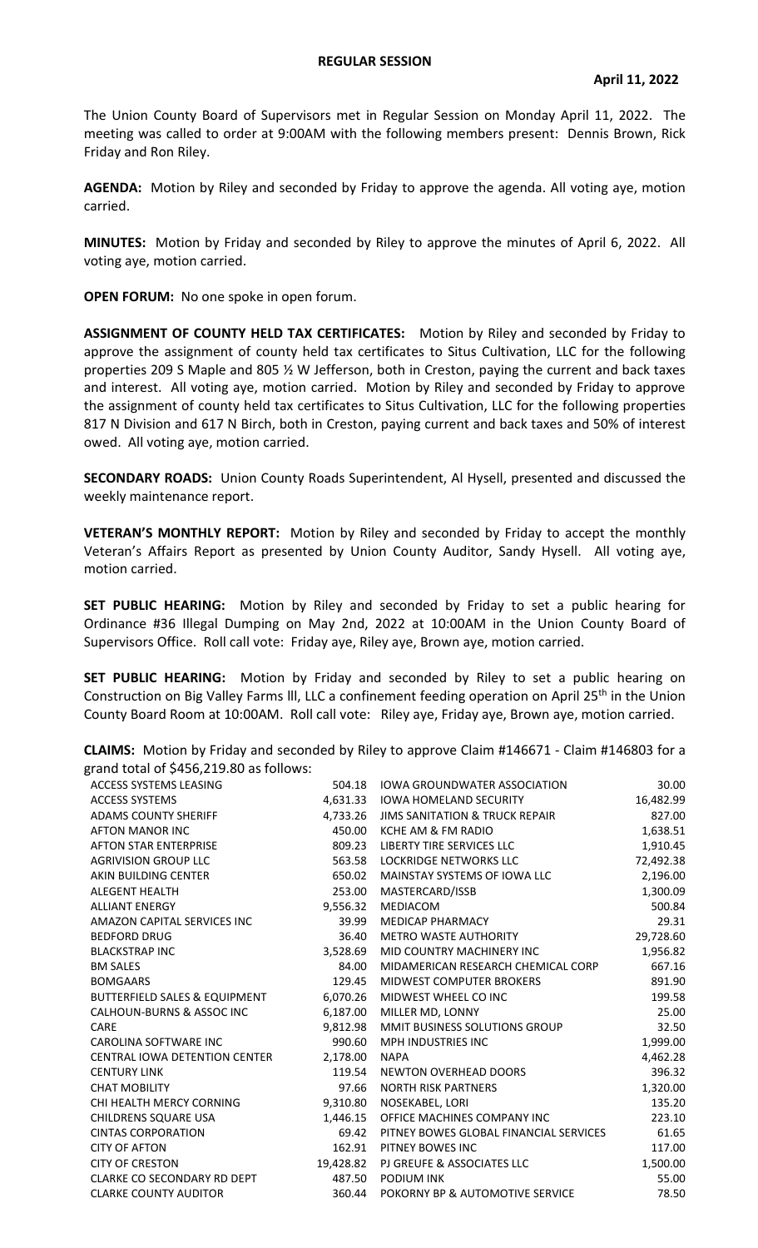## **REGULAR SESSION**

The Union County Board of Supervisors met in Regular Session on Monday April 11, 2022. The meeting was called to order at 9:00AM with the following members present: Dennis Brown, Rick Friday and Ron Riley.

**AGENDA:** Motion by Riley and seconded by Friday to approve the agenda. All voting aye, motion carried.

**MINUTES:** Motion by Friday and seconded by Riley to approve the minutes of April 6, 2022. All voting aye, motion carried.

**OPEN FORUM:** No one spoke in open forum.

**ASSIGNMENT OF COUNTY HELD TAX CERTIFICATES:** Motion by Riley and seconded by Friday to approve the assignment of county held tax certificates to Situs Cultivation, LLC for the following properties 209 S Maple and 805 ½ W Jefferson, both in Creston, paying the current and back taxes and interest. All voting aye, motion carried. Motion by Riley and seconded by Friday to approve the assignment of county held tax certificates to Situs Cultivation, LLC for the following properties 817 N Division and 617 N Birch, both in Creston, paying current and back taxes and 50% of interest owed. All voting aye, motion carried.

**SECONDARY ROADS:** Union County Roads Superintendent, Al Hysell, presented and discussed the weekly maintenance report.

**VETERAN'S MONTHLY REPORT:** Motion by Riley and seconded by Friday to accept the monthly Veteran's Affairs Report as presented by Union County Auditor, Sandy Hysell. All voting aye, motion carried.

**SET PUBLIC HEARING:** Motion by Riley and seconded by Friday to set a public hearing for Ordinance #36 Illegal Dumping on May 2nd, 2022 at 10:00AM in the Union County Board of Supervisors Office. Roll call vote: Friday aye, Riley aye, Brown aye, motion carried.

**SET PUBLIC HEARING:** Motion by Friday and seconded by Riley to set a public hearing on Construction on Big Valley Farms III, LLC a confinement feeding operation on April 25<sup>th</sup> in the Union County Board Room at 10:00AM. Roll call vote: Riley aye, Friday aye, Brown aye, motion carried.

| $51$ and total or $7 + 50,215.80$ as follows. |           |                                        |           |
|-----------------------------------------------|-----------|----------------------------------------|-----------|
| <b>ACCESS SYSTEMS LEASING</b>                 | 504.18    | <b>IOWA GROUNDWATER ASSOCIATION</b>    | 30.00     |
| <b>ACCESS SYSTEMS</b>                         | 4.631.33  | <b>IOWA HOMELAND SECURITY</b>          | 16,482.99 |
| <b>ADAMS COUNTY SHERIFF</b>                   | 4,733.26  | JIMS SANITATION & TRUCK REPAIR         | 827.00    |
| <b>AFTON MANOR INC</b>                        | 450.00    | KCHE AM & FM RADIO                     | 1,638.51  |
| <b>AFTON STAR ENTERPRISE</b>                  | 809.23    | LIBERTY TIRE SERVICES LLC              | 1,910.45  |
| <b>AGRIVISION GROUP LLC</b>                   | 563.58    | <b>LOCKRIDGE NETWORKS LLC</b>          | 72,492.38 |
| AKIN BUILDING CENTER                          | 650.02    | MAINSTAY SYSTEMS OF IOWA LLC           | 2,196.00  |
| <b>ALEGENT HEALTH</b>                         | 253.00    | MASTERCARD/ISSB                        | 1,300.09  |
| <b>ALLIANT ENERGY</b>                         | 9,556.32  | MEDIACOM                               | 500.84    |
| AMAZON CAPITAL SERVICES INC                   | 39.99     | <b>MEDICAP PHARMACY</b>                | 29.31     |
| <b>BEDFORD DRUG</b>                           | 36.40     | <b>METRO WASTE AUTHORITY</b>           | 29,728.60 |
| <b>BLACKSTRAP INC</b>                         | 3,528.69  | MID COUNTRY MACHINERY INC              | 1,956.82  |
| <b>BM SALES</b>                               | 84.00     | MIDAMERICAN RESEARCH CHEMICAL CORP     | 667.16    |
| <b>BOMGAARS</b>                               | 129.45    | MIDWEST COMPUTER BROKERS               | 891.90    |
| <b>BUTTERFIELD SALES &amp; EQUIPMENT</b>      | 6,070.26  | MIDWEST WHEEL CO INC                   | 199.58    |
| CALHOUN-BURNS & ASSOC INC                     | 6,187.00  | MILLER MD, LONNY                       | 25.00     |
| CARE                                          | 9,812.98  | MMIT BUSINESS SOLUTIONS GROUP          | 32.50     |
| CAROLINA SOFTWARE INC                         | 990.60    | <b>MPH INDUSTRIES INC</b>              | 1,999.00  |
| <b>CENTRAL IOWA DETENTION CENTER</b>          | 2,178.00  | <b>NAPA</b>                            | 4,462.28  |
| <b>CENTURY LINK</b>                           | 119.54    | <b>NEWTON OVERHEAD DOORS</b>           | 396.32    |
| <b>CHAT MOBILITY</b>                          | 97.66     | <b>NORTH RISK PARTNERS</b>             | 1,320.00  |
| CHI HEALTH MERCY CORNING                      | 9,310.80  | NOSEKABEL, LORI                        | 135.20    |
| <b>CHILDRENS SQUARE USA</b>                   | 1,446.15  | OFFICE MACHINES COMPANY INC            | 223.10    |
| <b>CINTAS CORPORATION</b>                     | 69.42     | PITNEY BOWES GLOBAL FINANCIAL SERVICES | 61.65     |
| <b>CITY OF AFTON</b>                          | 162.91    | PITNEY BOWES INC                       | 117.00    |
| <b>CITY OF CRESTON</b>                        | 19,428.82 | PJ GREUFE & ASSOCIATES LLC             | 1,500.00  |
| <b>CLARKE CO SECONDARY RD DEPT</b>            | 487.50    | <b>PODIUM INK</b>                      | 55.00     |
| <b>CLARKE COUNTY AUDITOR</b>                  | 360.44    | POKORNY BP & AUTOMOTIVE SERVICE        | 78.50     |

**CLAIMS:** Motion by Friday and seconded by Riley to approve Claim #146671 - Claim #146803 for a grand total of \$456,219.80 as follows: